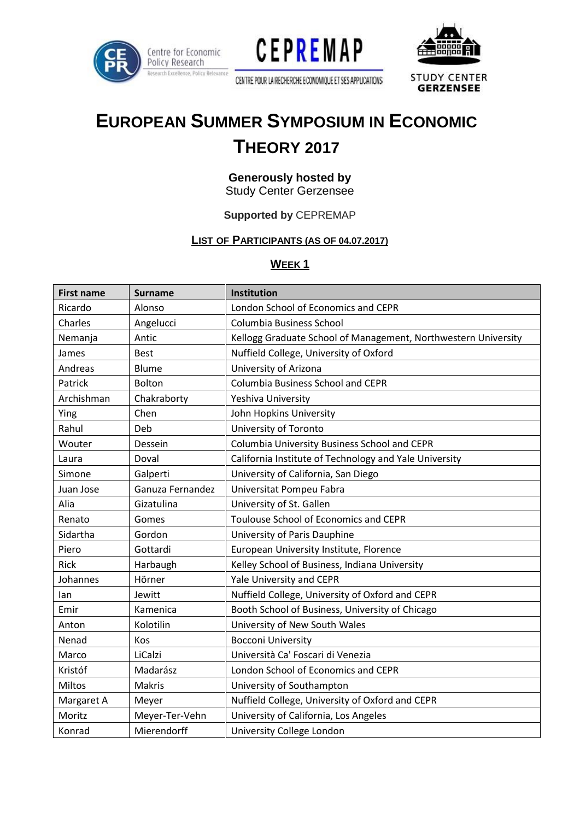





CENTRE POUR LA RECHERCHE ECONOMIQUE ET SES APPLICATIONS'

**STUDY CENTER GERZENSEE** 

# **EUROPEAN SUMMER SYMPOSIUM IN ECONOMIC THEORY 2017**

#### **Generously hosted by Study Center Gerzensee**

## **Supported by** CEPREMAP

## **LIST OF PARTICIPANTS (AS OF 04.07.2017)**

#### **WEEK 1**

| <b>First name</b> | Surname          | <b>Institution</b>                                             |
|-------------------|------------------|----------------------------------------------------------------|
| Ricardo           | Alonso           | London School of Economics and CEPR                            |
| Charles           | Angelucci        | Columbia Business School                                       |
| Nemanja           | Antic            | Kellogg Graduate School of Management, Northwestern University |
| James             | <b>Best</b>      | Nuffield College, University of Oxford                         |
| Andreas           | Blume            | University of Arizona                                          |
| Patrick           | <b>Bolton</b>    | <b>Columbia Business School and CEPR</b>                       |
| Archishman        | Chakraborty      | Yeshiva University                                             |
| Ying              | Chen             | John Hopkins University                                        |
| Rahul             | Deb              | University of Toronto                                          |
| Wouter            | Dessein          | Columbia University Business School and CEPR                   |
| Laura             | Doval            | California Institute of Technology and Yale University         |
| Simone            | Galperti         | University of California, San Diego                            |
| Juan Jose         | Ganuza Fernandez | Universitat Pompeu Fabra                                       |
| Alia              | Gizatulina       | University of St. Gallen                                       |
| Renato            | Gomes            | Toulouse School of Economics and CEPR                          |
| Sidartha          | Gordon           | University of Paris Dauphine                                   |
| Piero             | Gottardi         | European University Institute, Florence                        |
| Rick              | Harbaugh         | Kelley School of Business, Indiana University                  |
| Johannes          | Hörner           | Yale University and CEPR                                       |
| lan               | Jewitt           | Nuffield College, University of Oxford and CEPR                |
| Emir              | Kamenica         | Booth School of Business, University of Chicago                |
| Anton             | Kolotilin        | University of New South Wales                                  |
| Nenad             | Kos              | <b>Bocconi University</b>                                      |
| Marco             | LiCalzi          | Università Ca' Foscari di Venezia                              |
| Kristóf           | Madarász         | London School of Economics and CEPR                            |
| Miltos            | Makris           | University of Southampton                                      |
| Margaret A        | Meyer            | Nuffield College, University of Oxford and CEPR                |
| Moritz            | Meyer-Ter-Vehn   | University of California, Los Angeles                          |
| Konrad            | Mierendorff      | University College London                                      |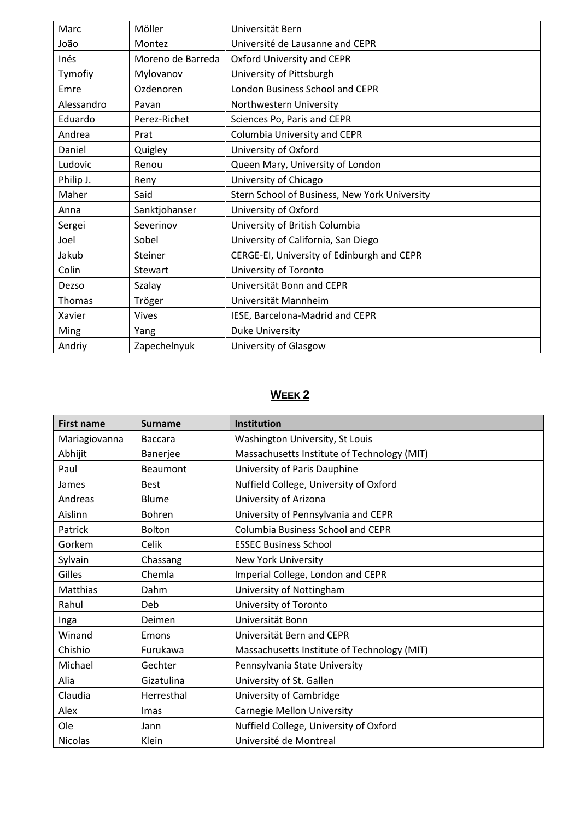| Marc       | Möller            | Universität Bern                              |
|------------|-------------------|-----------------------------------------------|
| João       | Montez            | Université de Lausanne and CEPR               |
| Inés       | Moreno de Barreda | Oxford University and CEPR                    |
| Tymofiy    | Mylovanov         | University of Pittsburgh                      |
| Emre       | Ozdenoren         | London Business School and CEPR               |
| Alessandro | Pavan             | Northwestern University                       |
| Eduardo    | Perez-Richet      | Sciences Po, Paris and CEPR                   |
| Andrea     | Prat              | Columbia University and CEPR                  |
| Daniel     | Quigley           | University of Oxford                          |
| Ludovic    | Renou             | Queen Mary, University of London              |
| Philip J.  | Reny              | University of Chicago                         |
| Maher      | Said              | Stern School of Business, New York University |
| Anna       | Sanktjohanser     | University of Oxford                          |
| Sergei     | Severinov         | University of British Columbia                |
| Joel       | Sobel             | University of California, San Diego           |
| Jakub      | Steiner           | CERGE-EI, University of Edinburgh and CEPR    |
| Colin      | Stewart           | University of Toronto                         |
| Dezso      | Szalay            | Universität Bonn and CEPR                     |
| Thomas     | Tröger            | Universität Mannheim                          |
| Xavier     | <b>Vives</b>      | IESE, Barcelona-Madrid and CEPR               |
| Ming       | Yang              | <b>Duke University</b>                        |
| Andriy     | Zapechelnyuk      | University of Glasgow                         |

# **WEEK 2**

| <b>First name</b> | <b>Surname</b> | <b>Institution</b>                          |
|-------------------|----------------|---------------------------------------------|
| Mariagiovanna     | <b>Baccara</b> | Washington University, St Louis             |
| Abhijit           | Banerjee       | Massachusetts Institute of Technology (MIT) |
| Paul              | Beaumont       | University of Paris Dauphine                |
| James             | <b>Best</b>    | Nuffield College, University of Oxford      |
| Andreas           | Blume          | University of Arizona                       |
| Aislinn           | Bohren         | University of Pennsylvania and CEPR         |
| Patrick           | <b>Bolton</b>  | <b>Columbia Business School and CEPR</b>    |
| Gorkem            | Celik          | <b>ESSEC Business School</b>                |
| Sylvain           | Chassang       | <b>New York University</b>                  |
| Gilles            | Chemla         | Imperial College, London and CEPR           |
| Matthias          | Dahm           | University of Nottingham                    |
| Rahul             | Deb            | University of Toronto                       |
| Inga              | Deimen         | Universität Bonn                            |
| Winand            | Emons          | Universität Bern and CEPR                   |
| Chishio           | Furukawa       | Massachusetts Institute of Technology (MIT) |
| Michael           | Gechter        | Pennsylvania State University               |
| Alia              | Gizatulina     | University of St. Gallen                    |
| Claudia           | Herresthal     | University of Cambridge                     |
| Alex              | <b>Imas</b>    | <b>Carnegie Mellon University</b>           |
| Ole               | Jann           | Nuffield College, University of Oxford      |
| <b>Nicolas</b>    | Klein          | Université de Montreal                      |